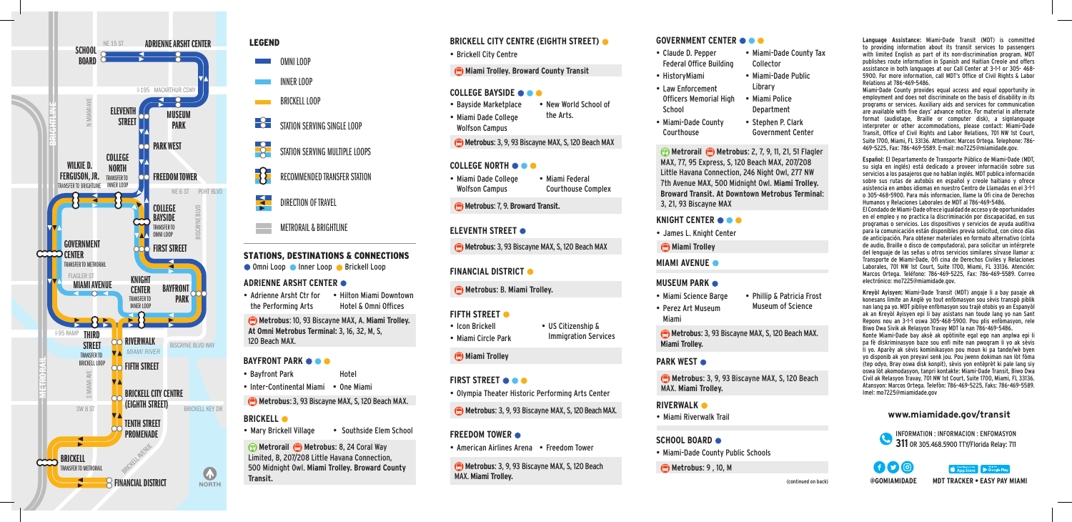



INNER LOOP BRICKELL LOOP

 $-8$ STATION SERVING SINGLE LOOP

STATION SERVING MULTIPLE LOOPS

RECOMMENDED TRANSFER STATION

DIRECTION OF TRAVEL

METRORAIL & BRIGHTLINE

#### STATIONS, DESTINATIONS & CONNECTIONS Omni Loop Inner Loop Brickell Loop **MIAMI AVENUE**

#### **ADRIENNE ARSHT CENTER**

• Adrienne Arsht Ctr for the Performing Arts • Hilton Miami Downtown Hotel & Omni Offices

**Metrobus**: 10, 93 Biscayne MAX, A. **Miami Trolley. At Omni Metrobus Terminal:** 3, 16, 32, M, S, 120 Beach MAX.

#### **BAYFRONT PARK**

• Bayfront Park Hotel

• Inter-Continental Miami • One Miami

**Metrobus: 3, 93 Biscayne MAX, S, 120 Beach MAX.** 

#### **BRICKELL**

• Mary Brickell Village • Southside Elem School

**19 Metronal C Metrobus:** 8, 24 Coral Way<br>
Limited, B, 207/208 Little Havana Connection,<br>
500 Midnight Owl. Miami Trolley. Broward County C Metrobus: 3, 9, 93 Biscayne MAX, S, 120 Beach County Public Schools (a County Publ **Metrorail Metrobus**: 8, 24 Coral Way Limited, B, 207/208 Little Havana Connection, 500 Midnight Owl. **Miami Trolley. Broward County Transit.**

# **BRICKELL CITY CENTRE (EIGHTH STREET)**

- • Brickell City Centre
- **Miami Trolley. Broward County Transit**

# **COLLEGE BAYSIDE**

- • Bayside Marketplace • New World School of
- • Miami Dade College the Arts.
- Wolfson Campus
- **Metrobus: 3, 9, 93 Biscayne MAX, S, 120 Beach MAX**

# **COLLEGE NORTH**

- • Miami Dade College Wolfson Campus • Miami Federal Courthouse Complex
- **Metrobus**: 7, 9. **Broward Transit.**
- **ELEVENTH STREET**
- **Metrobus: 3, 93 Biscayne MAX, S, 120 Beach MAX**
- **FINANCIAL DISTRICT**
- **Metrobus**: B. **Miami Trolley.**
- **FIFTH STREET**  $\bullet$
- • Icon Brickell • Miami Circle Park • US Citizenship & Immigration Services

# **Miami Trolley**

- • Olympia Theater Historic Performing Arts Center **FIRST STREET**  $\bullet$
- 
- **Metrobus: 3, 9, 93 Biscayne MAX, S, 120 Beach MAX.**

## **FREEDOM TOWER**

• American Airlines Arena • Freedom Tower

**Metrobus: 3, 9, 93 Biscayne MAX, S, 120 Beach** MAX. **Miami Trolley.** 

## **GOVERNMENT CENTER**

| • Claude D. Pepper             | • Miami-Dade County Tax  |
|--------------------------------|--------------------------|
| <b>Federal Office Building</b> | Collector                |
| • HistoryMiami                 | • Miami-Dade Public      |
| • Law Enforcement              | Library                  |
| Officers Memorial High         | • Miami Police           |
| School                         | Department               |
| • Miami-Dade County            | • Stephen P. Clark       |
| Courthouse                     | <b>Government Center</b> |

**<b>Metrorail C** Metrobus: 2, 7, 9, 11, 21, 51 Flagler MAX, 77, 95 Express, S, 120 Beach MAX, 207/208 Little Havana Connection, 246 Night Owl, 277 NW 7th Avenue MAX, 500 Midnight Owl. **Miami Trolley. Broward Transit. At Downtown Metrobus Terminal**: 3, 21, 93 Biscayne MAX

#### **KNIGHT CENTER**

• James L. Knight Center

**Miami Trolley** 

#### **MUSEUM PARK**

• Miami Science Barge • Perez Art Museum • Phillip & Patricia Frost Museum of Science

**Metrobus: 3, 93 Biscayne MAX, S, 120 Beach MAX. Miami Trolley.** 

#### **PARK WEST**  $\bullet$

Miami

**Metrobus**: 3, 9, 93 Biscayne MAX, S, 120 Beach MAX. **Miami Trolley.** 

• Miami Riverwalk Trail **RIVERWALK**

## **SCHOOL BOARD**

• Miami-Dade County Public Schools

**Metrobus: 9, 10, M** 

**Language Assistance:** Miami-Dade Transit (MDT) is committed to providing information about its transit services to passengers with limited English as part of its non-discrimination program. MDT publishes route information in Spanish and Haitian Creole and offers assistance in both languages at our Call Center at 3-1-1 or 305- 468- 5900. For more information, call MDT's Office of Civil Rights & Labor Relations at 786-469-5486.

Miami-Dade County provides equal access and equal opportunity in employment and does not discriminate on the basis of disability in its programs or services. Auxiliary aids and services for communication are available with five days' advance notice. For material in alternate format (audiotape, Braille or computer disk), a signlanguage interpreter or other accommodations, please contact: Miami-Dade Transit, Office of Civil Rights and Labor Relations, 701 NW 1st Court, Suite 1700, Miami, FL 33136. Attention: Marcos Ortega. Telephone: 786- 469-5225, Fax: 786-469-5589. E-mail: mo7225@miamidade.gov.

**Español:** El Departamento de Transporte Público de Miami-Dade (MDT, su sigla en inglés) está dedicado a proveer información sobre sus servicios a los pasajeros que no hablan inglés. MDT publica información sobre sus rutas de autobús en español y creole haitiano y ofrece asistencia en ambos idiomas en nuestro Centro de Llamadas en el 3-1-1 o 305-468-5900. Para más informacion, llame la Ofi cina de Derechos Humanos y Relaciones Laborales de MDT al 786-469-5486. El Condado de Miami-Dade ofrece igualdad de acceso y de oportunidades en el empleo y no practica la discriminación por discapacidad, en sus programas o servicios. Los dispositivos y servicios de ayuda auditiva para la comunicación están disponibles previa solicitud, con cinco días de anticipación. Para obtener materiales en formato alternativo (cinta de audio, Braille o disco de computadora), para solicitar un intérprete del lenguaje de las señas u otros servicios similares sírvase llamar a: Transporte de Miami-Dade, Ofi cina de Derechos Civiles y Relaciones Laborales, 701 NW 1st Court, Suite 1700, Miami, FL 33136. Atención: Marcos Ortega. Teléfono: 786-469-5225, Fax: 786-469-5589. Correo electrónico: mo7225@miamidade.gov.

**Kreyòl Ayisyen:** Miami-Dade Transit (MDT) angaje li a bay pasaje ak konesans limite an Anglè yo tout enfòmasyon sou sèvis transpò piblik nan lang pa yo. MDT pibliye enfòmasyon sou trajè otobis yo an Espanyòl ak an Kreyòl Ayisyen epi li bay asistans nan toude lang yo nan Sant Repons nou an 3-1-1 oswa 305-468-5900. Pou plis enfòmasyon, rele Biwo Dwa Sivik ak Relasyon Travay MDT la nan 786-469-5486. Konte Miami-Dade bay aksè ak opòtinite egal ego nan anplwa epi li pa fè diskriminasyon baze sou enfi mite nan pwogram li yo ak sèvis li yo. Aparèy ak sèvis kominikasyon pou moun ki pa tande/wè byen yo disponib ak yon preyavi senk jou. Pou jwenn dokiman nan lòt fòma (tep odyo, Bray oswa disk konpit), sèvis yon entèprèt ki pale lang siy oswa lòt akomodasyon, tanpri kontakte: Miami-Dade Transit, Biwo Dwa Civil ak Relasyon Travay, 701 NW 1st Court, Suite 1700, Miami, FL 33136. Atansyon: Marcos Ortega. Telefòn: 786-469-5225, Faks: 786-469-5589. Imel: mo7225@miamidade.gov

#### **www.miamidade.gov/transit**

INFORMATION : INFORMACION : ENFOMASYON

**@GOMIAMIDADE MDT TRACKER • EASY PAY MIAMI**